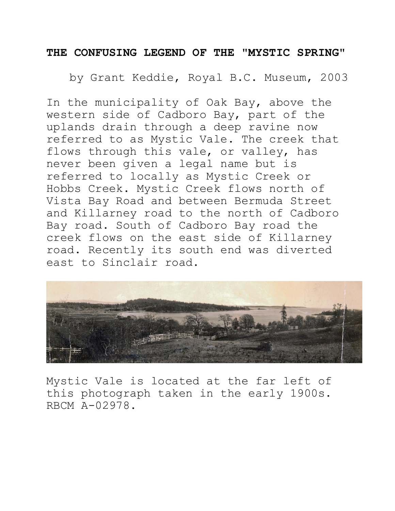## **THE CONFUSING LEGEND OF THE "MYSTIC SPRING"**

by Grant Keddie, Royal B.C. Museum, 2003

In the municipality of Oak Bay, above the western side of Cadboro Bay, part of the uplands drain through a deep ravine now referred to as Mystic Vale. The creek that flows through this vale, or valley, has never been given a legal name but is referred to locally as Mystic Creek or Hobbs Creek. Mystic Creek flows north of Vista Bay Road and between Bermuda Street and Killarney road to the north of Cadboro Bay road. South of Cadboro Bay road the creek flows on the east side of Killarney road. Recently its south end was diverted east to Sinclair road.



Mystic Vale is located at the far left of this photograph taken in the early 1900s. RBCM A-02978.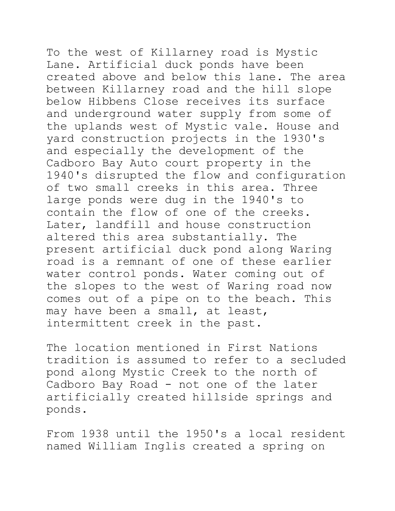To the west of Killarney road is Mystic Lane. Artificial duck ponds have been created above and below this lane. The area between Killarney road and the hill slope below Hibbens Close receives its surface and underground water supply from some of the uplands west of Mystic vale. House and yard construction projects in the 1930's and especially the development of the Cadboro Bay Auto court property in the 1940's disrupted the flow and configuration of two small creeks in this area. Three large ponds were dug in the 1940's to contain the flow of one of the creeks. Later, landfill and house construction altered this area substantially. The present artificial duck pond along Waring road is a remnant of one of these earlier water control ponds. Water coming out of the slopes to the west of Waring road now comes out of a pipe on to the beach. This may have been a small, at least,

intermittent creek in the past.

The location mentioned in First Nations tradition is assumed to refer to a secluded pond along Mystic Creek to the north of Cadboro Bay Road - not one of the later artificially created hillside springs and ponds.

From 1938 until the 1950's a local resident named William Inglis created a spring on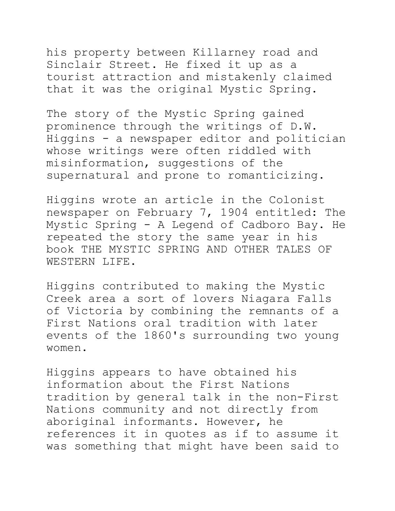his property between Killarney road and Sinclair Street. He fixed it up as a tourist attraction and mistakenly claimed that it was the original Mystic Spring.

The story of the Mystic Spring gained prominence through the writings of D.W. Higgins - a newspaper editor and politician whose writings were often riddled with misinformation, suggestions of the supernatural and prone to romanticizing.

Higgins wrote an article in the Colonist newspaper on February 7, 1904 entitled: The Mystic Spring - A Legend of Cadboro Bay. He repeated the story the same year in his book THE MYSTIC SPRING AND OTHER TALES OF WESTERN LIFE.

Higgins contributed to making the Mystic Creek area a sort of lovers Niagara Falls of Victoria by combining the remnants of a First Nations oral tradition with later events of the 1860's surrounding two young women.

Higgins appears to have obtained his information about the First Nations tradition by general talk in the non-First Nations community and not directly from aboriginal informants. However, he references it in quotes as if to assume it was something that might have been said to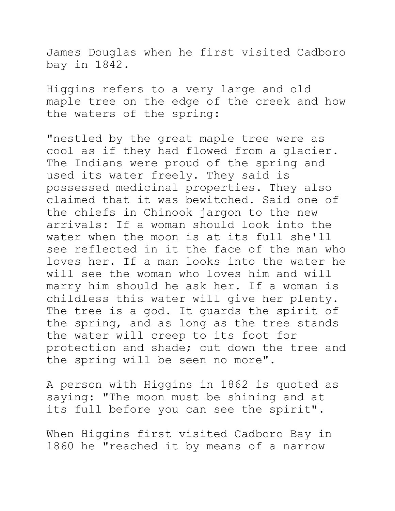James Douglas when he first visited Cadboro bay in 1842.

Higgins refers to a very large and old maple tree on the edge of the creek and how the waters of the spring:

"nestled by the great maple tree were as cool as if they had flowed from a glacier. The Indians were proud of the spring and used its water freely. They said is possessed medicinal properties. They also claimed that it was bewitched. Said one of the chiefs in Chinook jargon to the new arrivals: If a woman should look into the water when the moon is at its full she'll see reflected in it the face of the man who loves her. If a man looks into the water he will see the woman who loves him and will marry him should he ask her. If a woman is childless this water will give her plenty. The tree is a god. It guards the spirit of the spring, and as long as the tree stands the water will creep to its foot for protection and shade; cut down the tree and the spring will be seen no more".

A person with Higgins in 1862 is quoted as saying: "The moon must be shining and at its full before you can see the spirit".

When Higgins first visited Cadboro Bay in 1860 he "reached it by means of a narrow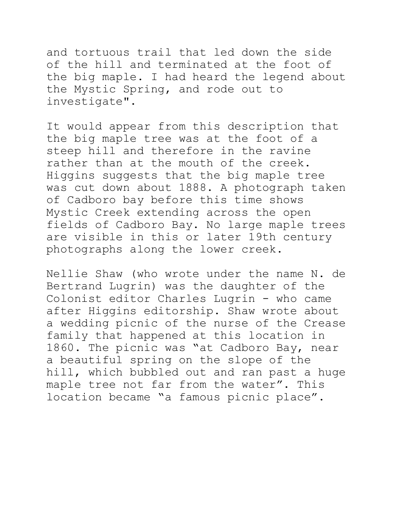and tortuous trail that led down the side of the hill and terminated at the foot of the big maple. I had heard the legend about the Mystic Spring, and rode out to investigate".

It would appear from this description that the big maple tree was at the foot of a steep hill and therefore in the ravine rather than at the mouth of the creek. Higgins suggests that the big maple tree was cut down about 1888. A photograph taken of Cadboro bay before this time shows Mystic Creek extending across the open fields of Cadboro Bay. No large maple trees are visible in this or later 19th century photographs along the lower creek.

Nellie Shaw (who wrote under the name N. de Bertrand Lugrin) was the daughter of the Colonist editor Charles Lugrin - who came after Higgins editorship. Shaw wrote about a wedding picnic of the nurse of the Crease family that happened at this location in 1860. The picnic was "at Cadboro Bay, near a beautiful spring on the slope of the hill, which bubbled out and ran past a huge maple tree not far from the water". This location became "a famous picnic place".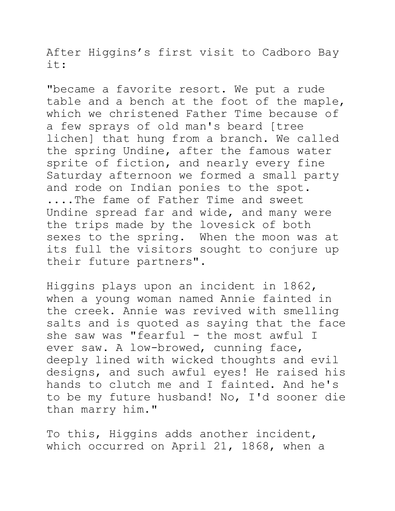After Higgins's first visit to Cadboro Bay it:

"became a favorite resort. We put a rude table and a bench at the foot of the maple, which we christened Father Time because of a few sprays of old man's beard [tree lichen] that hung from a branch. We called the spring Undine, after the famous water sprite of fiction, and nearly every fine Saturday afternoon we formed a small party and rode on Indian ponies to the spot. ....The fame of Father Time and sweet Undine spread far and wide, and many were the trips made by the lovesick of both sexes to the spring. When the moon was at its full the visitors sought to conjure up their future partners".

Higgins plays upon an incident in 1862, when a young woman named Annie fainted in the creek. Annie was revived with smelling salts and is quoted as saying that the face she saw was "fearful - the most awful I ever saw. A low-browed, cunning face, deeply lined with wicked thoughts and evil designs, and such awful eyes! He raised his hands to clutch me and I fainted. And he's to be my future husband! No, I'd sooner die than marry him."

To this, Higgins adds another incident, which occurred on April 21, 1868, when a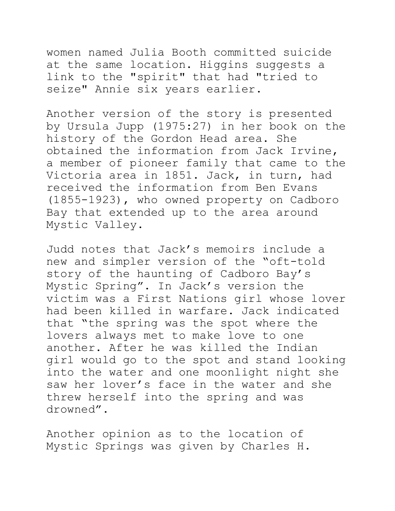women named Julia Booth committed suicide at the same location. Higgins suggests a link to the "spirit" that had "tried to seize" Annie six years earlier.

Another version of the story is presented by Ursula Jupp (1975:27) in her book on the history of the Gordon Head area. She obtained the information from Jack Irvine, a member of pioneer family that came to the Victoria area in 1851. Jack, in turn, had received the information from Ben Evans (1855-1923), who owned property on Cadboro Bay that extended up to the area around Mystic Valley.

Judd notes that Jack's memoirs include a new and simpler version of the "oft-told story of the haunting of Cadboro Bay's Mystic Spring". In Jack's version the victim was a First Nations girl whose lover had been killed in warfare. Jack indicated that "the spring was the spot where the lovers always met to make love to one another. After he was killed the Indian girl would go to the spot and stand looking into the water and one moonlight night she saw her lover's face in the water and she threw herself into the spring and was drowned".

Another opinion as to the location of Mystic Springs was given by Charles H.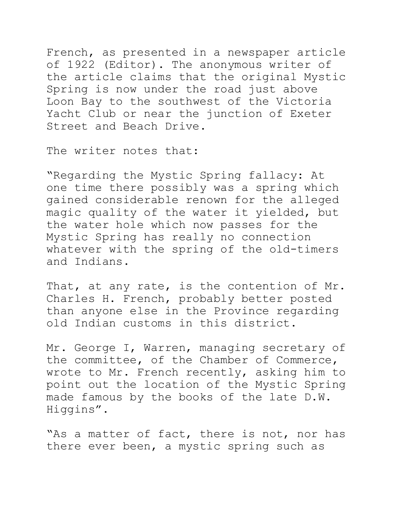French, as presented in a newspaper article of 1922 (Editor). The anonymous writer of the article claims that the original Mystic Spring is now under the road just above Loon Bay to the southwest of the Victoria Yacht Club or near the junction of Exeter Street and Beach Drive.

The writer notes that:

"Regarding the Mystic Spring fallacy: At one time there possibly was a spring which gained considerable renown for the alleged magic quality of the water it yielded, but the water hole which now passes for the Mystic Spring has really no connection whatever with the spring of the old-timers and Indians.

That, at any rate, is the contention of Mr. Charles H. French, probably better posted than anyone else in the Province regarding old Indian customs in this district.

Mr. George I, Warren, managing secretary of the committee, of the Chamber of Commerce, wrote to Mr. French recently, asking him to point out the location of the Mystic Spring made famous by the books of the late D.W. Higgins".

"As a matter of fact, there is not, nor has there ever been, a mystic spring such as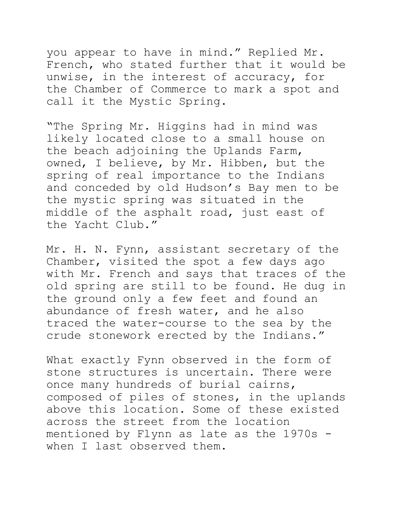you appear to have in mind." Replied Mr. French, who stated further that it would be unwise, in the interest of accuracy, for the Chamber of Commerce to mark a spot and call it the Mystic Spring.

"The Spring Mr. Higgins had in mind was likely located close to a small house on the beach adjoining the Uplands Farm, owned, I believe, by Mr. Hibben, but the spring of real importance to the Indians and conceded by old Hudson's Bay men to be the mystic spring was situated in the middle of the asphalt road, just east of the Yacht Club."

Mr. H. N. Fynn, assistant secretary of the Chamber, visited the spot a few days ago with Mr. French and says that traces of the old spring are still to be found. He dug in the ground only a few feet and found an abundance of fresh water, and he also traced the water-course to the sea by the crude stonework erected by the Indians."

What exactly Fynn observed in the form of stone structures is uncertain. There were once many hundreds of burial cairns, composed of piles of stones, in the uplands above this location. Some of these existed across the street from the location mentioned by Flynn as late as the 1970s when I last observed them.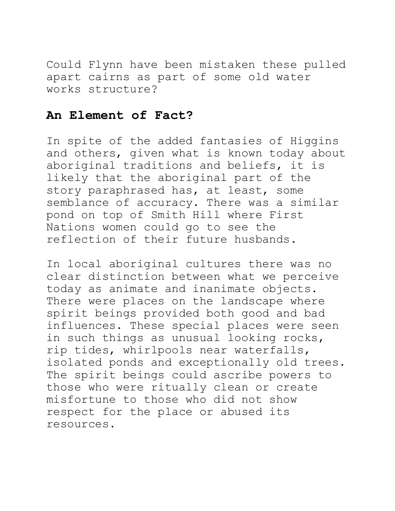Could Flynn have been mistaken these pulled apart cairns as part of some old water works structure?

## **An Element of Fact?**

In spite of the added fantasies of Higgins and others, given what is known today about aboriginal traditions and beliefs, it is likely that the aboriginal part of the story paraphrased has, at least, some semblance of accuracy. There was a similar pond on top of Smith Hill where First Nations women could go to see the reflection of their future husbands.

In local aboriginal cultures there was no clear distinction between what we perceive today as animate and inanimate objects. There were places on the landscape where spirit beings provided both good and bad influences. These special places were seen in such things as unusual looking rocks, rip tides, whirlpools near waterfalls, isolated ponds and exceptionally old trees. The spirit beings could ascribe powers to those who were ritually clean or create misfortune to those who did not show respect for the place or abused its resources.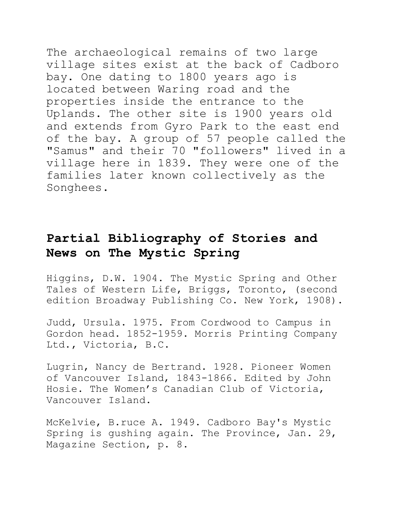The archaeological remains of two large village sites exist at the back of Cadboro bay. One dating to 1800 years ago is located between Waring road and the properties inside the entrance to the Uplands. The other site is 1900 years old and extends from Gyro Park to the east end of the bay. A group of 57 people called the "Samus" and their 70 "followers" lived in a village here in 1839. They were one of the families later known collectively as the Songhees.

## **Partial Bibliography of Stories and News on The Mystic Spring**

Higgins, D.W. 1904. The Mystic Spring and Other Tales of Western Life, Briggs, Toronto, (second edition Broadway Publishing Co. New York, 1908).

Judd, Ursula. 1975. From Cordwood to Campus in Gordon head. 1852-1959. Morris Printing Company Ltd., Victoria, B.C.

Lugrin, Nancy de Bertrand. 1928. Pioneer Women of Vancouver Island, 1843-1866. Edited by John Hosie. The Women's Canadian Club of Victoria, Vancouver Island.

McKelvie, B.ruce A. 1949. Cadboro Bay's Mystic Spring is gushing again. The Province, Jan. 29, Magazine Section, p. 8.